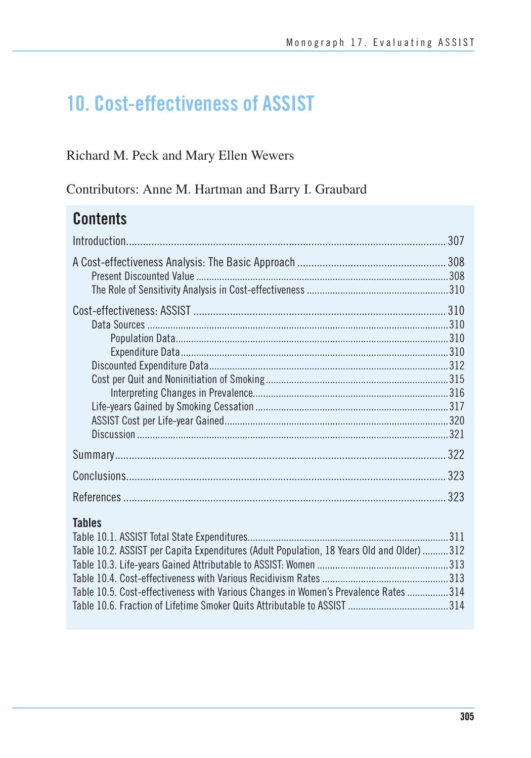# **10. Cost-effectiveness of ASSIST**

## Richard M. Peck and Mary Ellen Wewers

Contributors: Anne M. Hartman and Barry I. Graubard

# **Contents**

|               | .307 |
|---------------|------|
|               |      |
|               |      |
|               |      |
|               |      |
|               | 323  |
|               |      |
| <b>Tables</b> |      |

| Table 10.2. ASSIST per Capita Expenditures (Adult Population, 18 Years Old and Older) 312 |  |
|-------------------------------------------------------------------------------------------|--|
|                                                                                           |  |
|                                                                                           |  |
| Table 10.5. Cost-effectiveness with Various Changes in Women's Prevalence Rates 314       |  |
|                                                                                           |  |
|                                                                                           |  |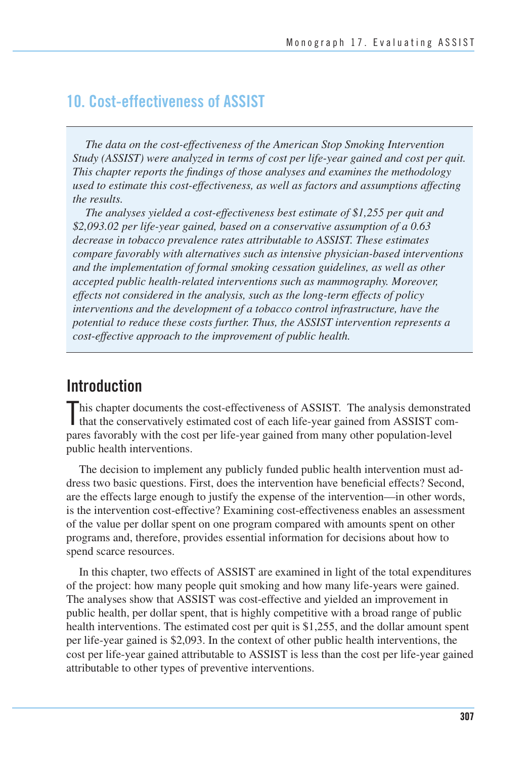## **10. Cost-effectiveness of ASSIST**

*The data on the cost-effectiveness of the American Stop Smoking Intervention Study (ASSIST) were analyzed in terms of cost per life-year gained and cost per quit. This chapter reports the findings of those analyses and examines the methodology used to estimate this cost-effectiveness, as well as factors and assumptions affecting the results.* 

*The analyses yielded a cost-effectiveness best estimate of \$1,255 per quit and \$2,093.02 per life-year gained, based on a conservative assumption of a 0.63 decrease in tobacco prevalence rates attributable to ASSIST. These estimates compare favorably with alternatives such as intensive physician-based interventions and the implementation of formal smoking cessation guidelines, as well as other accepted public health-related interventions such as mammography. Moreover, effects not considered in the analysis, such as the long-term effects of policy interventions and the development of a tobacco control infrastructure, have the potential to reduce these costs further. Thus, the ASSIST intervention represents a cost-effective approach to the improvement of public health.* 

## **Introduction**

This chapter documents the cost-effectiveness of ASSIST. The analysis demonstrated that the conservatively estimated cost of each life-year gained from ASSIST comthat the conservatively estimated cost of each life-year gained from ASSIST compares favorably with the cost per life-year gained from many other population-level public health interventions.

The decision to implement any publicly funded public health intervention must address two basic questions. First, does the intervention have beneficial effects? Second, are the effects large enough to justify the expense of the intervention—in other words, is the intervention cost-effective? Examining cost-effectiveness enables an assessment of the value per dollar spent on one program compared with amounts spent on other programs and, therefore, provides essential information for decisions about how to spend scarce resources.

In this chapter, two effects of ASSIST are examined in light of the total expenditures of the project: how many people quit smoking and how many life-years were gained. The analyses show that ASSIST was cost-effective and yielded an improvement in public health, per dollar spent, that is highly competitive with a broad range of public health interventions. The estimated cost per quit is \$1,255, and the dollar amount spent per life-year gained is \$2,093. In the context of other public health interventions, the cost per life-year gained attributable to ASSIST is less than the cost per life-year gained attributable to other types of preventive interventions.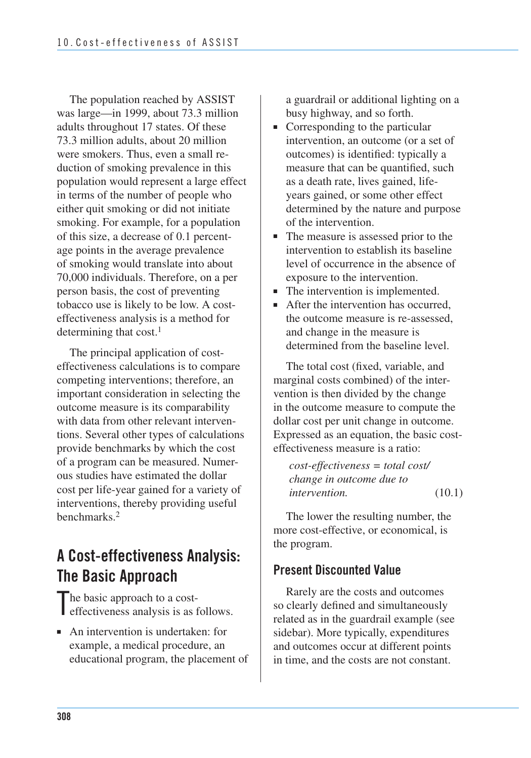The population reached by ASSIST was large—in 1999, about 73.3 million adults throughout 17 states. Of these 73.3 million adults, about 20 million were smokers. Thus, even a small reduction of smoking prevalence in this population would represent a large effect in terms of the number of people who either quit smoking or did not initiate smoking. For example, for a population of this size, a decrease of 0.1 percentage points in the average prevalence of smoking would translate into about 70,000 individuals. Therefore, on a per person basis, the cost of preventing tobacco use is likely to be low. A costeffectiveness analysis is a method for determining that cost.<sup>1</sup>

The principal application of costeffectiveness calculations is to compare competing interventions; therefore, an important consideration in selecting the outcome measure is its comparability with data from other relevant interventions. Several other types of calculations provide benchmarks by which the cost of a program can be measured. Numerous studies have estimated the dollar cost per life-year gained for a variety of interventions, thereby providing useful benchmarks.2

# **A Cost-effectiveness Analysis: The Basic Approach**

The basic approach to a cost-<br>effectiveness analysis is as 1 effectiveness analysis is as follows.

■ An intervention is undertaken: for example, a medical procedure, an educational program, the placement of a guardrail or additional lighting on a busy highway, and so forth.

- Corresponding to the particular intervention, an outcome (or a set of outcomes) is identified: typically a measure that can be quantified, such as a death rate, lives gained, lifeyears gained, or some other effect determined by the nature and purpose of the intervention.
- The measure is assessed prior to the intervention to establish its baseline level of occurrence in the absence of exposure to the intervention.
- The intervention is implemented.
- After the intervention has occurred, the outcome measure is re-assessed, and change in the measure is determined from the baseline level.

The total cost (fixed, variable, and marginal costs combined) of the intervention is then divided by the change in the outcome measure to compute the dollar cost per unit change in outcome. Expressed as an equation, the basic costeffectiveness measure is a ratio:

```
cost-effectiveness = total cost/ 
change in outcome due to 
intervention. (10.1)
```
The lower the resulting number, the more cost-effective, or economical, is the program.

### **Present Discounted Value**

Rarely are the costs and outcomes so clearly defined and simultaneously related as in the guardrail example (see sidebar). More typically, expenditures and outcomes occur at different points in time, and the costs are not constant.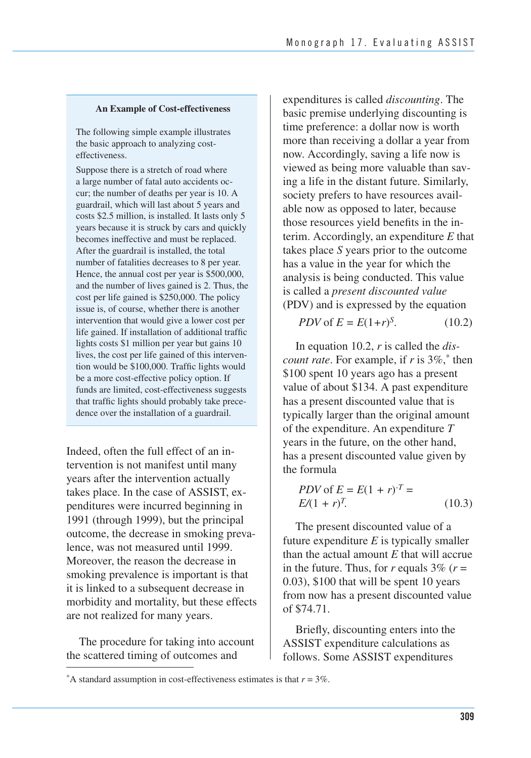#### **An Example of Cost-effectiveness**

The following simple example illustrates the basic approach to analyzing costeffectiveness.

Suppose there is a stretch of road where a large number of fatal auto accidents occur; the number of deaths per year is 10. A guardrail, which will last about 5 years and costs \$2.5 million, is installed. It lasts only 5 years because it is struck by cars and quickly becomes ineffective and must be replaced. After the guardrail is installed, the total number of fatalities decreases to 8 per year. Hence, the annual cost per year is \$500,000, and the number of lives gained is 2. Thus, the cost per life gained is \$250,000. The policy issue is, of course, whether there is another intervention that would give a lower cost per life gained. If installation of additional traffic lights costs \$1 million per year but gains 10 lives, the cost per life gained of this intervention would be \$100,000. Traffic lights would be a more cost-effective policy option. If funds are limited, cost-effectiveness suggests that traffic lights should probably take precedence over the installation of a guardrail.

Indeed, often the full effect of an intervention is not manifest until many years after the intervention actually takes place. In the case of ASSIST, expenditures were incurred beginning in 1991 (through 1999), but the principal outcome, the decrease in smoking prevalence, was not measured until 1999. Moreover, the reason the decrease in smoking prevalence is important is that it is linked to a subsequent decrease in morbidity and mortality, but these effects are not realized for many years.

The procedure for taking into account the scattered timing of outcomes and

expenditures is called *discounting*. The basic premise underlying discounting is time preference: a dollar now is worth more than receiving a dollar a year from now. Accordingly, saving a life now is viewed as being more valuable than saving a life in the distant future. Similarly, society prefers to have resources available now as opposed to later, because those resources yield benefits in the interim. Accordingly, an expenditure *E* that takes place *S* years prior to the outcome has a value in the year for which the analysis is being conducted. This value is called a *present discounted value*  (PDV) and is expressed by the equation

*PDV* of  $E = E(1+r)^S$ . (10.2)

In equation 10.2, *r* is called the *discount rate*. For example, if *r* is 3%,\* then \$100 spent 10 years ago has a present value of about \$134. A past expenditure has a present discounted value that is typically larger than the original amount of the expenditure. An expenditure *T*  years in the future, on the other hand, has a present discounted value given by the formula

$$
PDV \text{ of } E = E(1+r)^{-T} =
$$
  
 
$$
E/(1+r)^{T}.
$$
 (10.3)

The present discounted value of a future expenditure *E* is typically smaller than the actual amount *E* that will accrue in the future. Thus, for  $r$  equals 3% ( $r =$ 0.03), \$100 that will be spent 10 years from now has a present discounted value of \$74.71.

Briefly, discounting enters into the ASSIST expenditure calculations as follows. Some ASSIST expenditures

<sup>\*</sup>A standard assumption in cost-effectiveness estimates is that  $r = 3\%$ .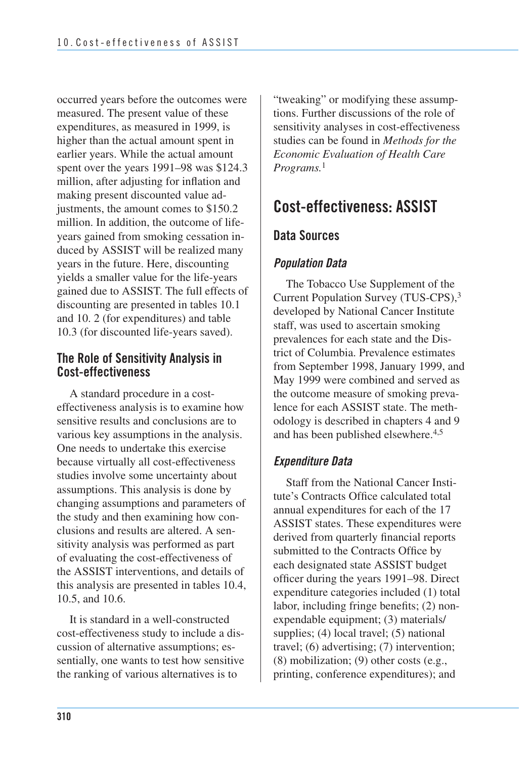occurred years before the outcomes were measured. The present value of these expenditures, as measured in 1999, is higher than the actual amount spent in earlier years. While the actual amount spent over the years 1991–98 was \$124.3 million, after adjusting for inflation and making present discounted value adjustments, the amount comes to \$150.2 million. In addition, the outcome of lifeyears gained from smoking cessation induced by ASSIST will be realized many years in the future. Here, discounting yields a smaller value for the life-years gained due to ASSIST. The full effects of discounting are presented in tables 10.1 and 10. 2 (for expenditures) and table 10.3 (for discounted life-years saved).

### **The Role of Sensitivity Analysis in Cost-effectiveness**

A standard procedure in a costeffectiveness analysis is to examine how sensitive results and conclusions are to various key assumptions in the analysis. One needs to undertake this exercise because virtually all cost-effectiveness studies involve some uncertainty about assumptions. This analysis is done by changing assumptions and parameters of the study and then examining how conclusions and results are altered. A sensitivity analysis was performed as part of evaluating the cost-effectiveness of the ASSIST interventions, and details of this analysis are presented in tables 10.4, 10.5, and 10.6.

It is standard in a well-constructed cost-effectiveness study to include a discussion of alternative assumptions; essentially, one wants to test how sensitive the ranking of various alternatives is to

"tweaking" or modifying these assumptions. Further discussions of the role of sensitivity analyses in cost-effectiveness studies can be found in *Methods for the Economic Evaluation of Health Care Programs.*<sup>1</sup>

## **Cost-effectiveness: ASSIST**

## **Data Sources**

## *Population Data*

The Tobacco Use Supplement of the Current Population Survey (TUS-CPS),3 developed by National Cancer Institute staff, was used to ascertain smoking prevalences for each state and the District of Columbia. Prevalence estimates from September 1998, January 1999, and May 1999 were combined and served as the outcome measure of smoking prevalence for each ASSIST state. The methodology is described in chapters 4 and 9 and has been published elsewhere.4,5

## *Expenditure Data*

Staff from the National Cancer Institute's Contracts Office calculated total annual expenditures for each of the 17 ASSIST states. These expenditures were derived from quarterly financial reports submitted to the Contracts Office by each designated state ASSIST budget officer during the years 1991–98. Direct expenditure categories included (1) total labor, including fringe benefits; (2) nonexpendable equipment; (3) materials/ supplies; (4) local travel; (5) national travel; (6) advertising; (7) intervention; (8) mobilization; (9) other costs (e.g., printing, conference expenditures); and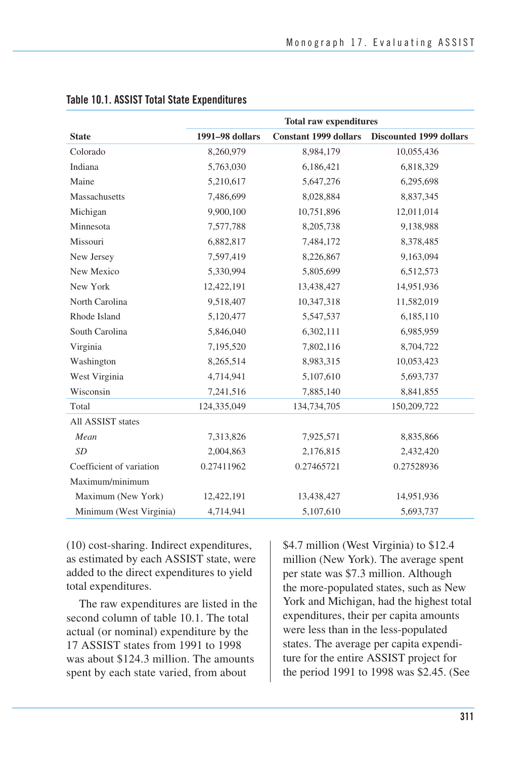|                          | <b>Total raw expenditures</b> |                              |                                |  |
|--------------------------|-------------------------------|------------------------------|--------------------------------|--|
| <b>State</b>             | 1991-98 dollars               | <b>Constant 1999 dollars</b> | <b>Discounted 1999 dollars</b> |  |
| Colorado                 | 8,260,979                     | 8,984,179                    | 10,055,436                     |  |
| Indiana                  | 5,763,030                     | 6,186,421                    | 6,818,329                      |  |
| Maine                    | 5,210,617                     | 5,647,276                    | 6,295,698                      |  |
| Massachusetts            | 7,486,699                     | 8,028,884                    | 8,837,345                      |  |
| Michigan                 | 9,900,100                     | 10,751,896                   | 12,011,014                     |  |
| Minnesota                | 7,577,788                     | 8,205,738                    | 9,138,988                      |  |
| Missouri                 | 6,882,817                     | 7,484,172                    | 8,378,485                      |  |
| New Jersey               | 7,597,419                     | 8,226,867                    | 9,163,094                      |  |
| New Mexico               | 5,330,994                     | 5,805,699                    | 6,512,573                      |  |
| New York                 | 12,422,191                    | 13,438,427                   | 14,951,936                     |  |
| North Carolina           | 9,518,407                     | 10,347,318                   | 11,582,019                     |  |
| Rhode Island             | 5,120,477                     | 5,547,537                    | 6,185,110                      |  |
| South Carolina           | 5,846,040                     | 6,302,111                    | 6,985,959                      |  |
| Virginia                 | 7,195,520                     | 7,802,116                    | 8,704,722                      |  |
| Washington               | 8,265,514                     | 8,983,315                    | 10,053,423                     |  |
| West Virginia            | 4,714,941                     | 5,107,610                    | 5,693,737                      |  |
| Wisconsin                | 7,241,516                     | 7,885,140                    | 8,841,855                      |  |
| Total                    | 124,335,049                   | 134,734,705                  | 150,209,722                    |  |
| All ASSIST states        |                               |                              |                                |  |
| Mean                     | 7,313,826                     | 7,925,571                    | 8,835,866                      |  |
| <b>SD</b>                | 2,004,863                     | 2,176,815                    | 2,432,420                      |  |
| Coefficient of variation | 0.27411962                    | 0.27465721                   | 0.27528936                     |  |
| Maximum/minimum          |                               |                              |                                |  |
| Maximum (New York)       | 12,422,191                    | 13,438,427                   | 14,951,936                     |  |
| Minimum (West Virginia)  | 4,714,941                     | 5,107,610                    | 5,693,737                      |  |

### **Table 10.1. ASSIST Total State Expenditures**

(10) cost-sharing. Indirect expenditures, as estimated by each ASSIST state, were added to the direct expenditures to yield total expenditures.

 The raw expenditures are listed in the second column of table 10.1. The total actual (or nominal) expenditure by the 17 ASSIST states from 1991 to 1998 was about \$124.3 million. The amounts spent by each state varied, from about

\$4.7 million (West Virginia) to \$12.4 million (New York). The average spent per state was \$7.3 million. Although the more-populated states, such as New York and Michigan, had the highest total expenditures, their per capita amounts were less than in the less-populated states. The average per capita expenditure for the entire ASSIST project for the period 1991 to 1998 was \$2.45. (See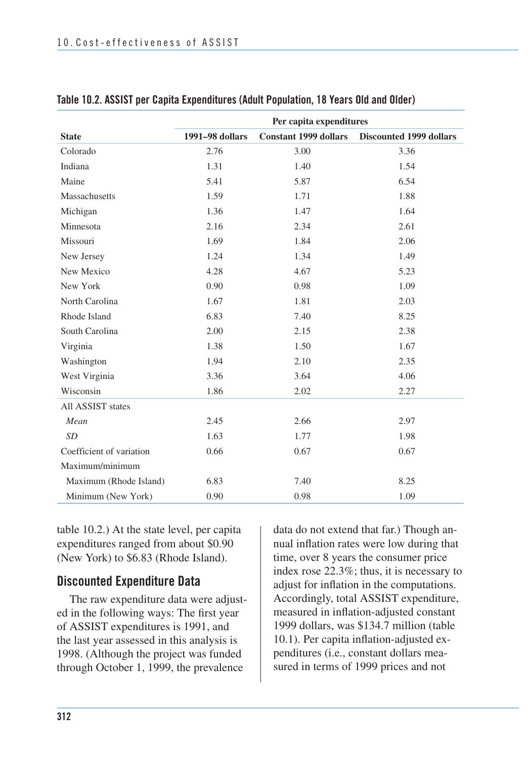|                          | Per capita expenditures |                              |                                |  |  |
|--------------------------|-------------------------|------------------------------|--------------------------------|--|--|
| <b>State</b>             | 1991-98 dollars         | <b>Constant 1999 dollars</b> | <b>Discounted 1999 dollars</b> |  |  |
| Colorado                 | 2.76                    | 3.00                         | 3.36                           |  |  |
| Indiana                  | 1.31                    | 1.40                         | 1.54                           |  |  |
| Maine                    | 5.41                    | 5.87                         | 6.54                           |  |  |
| Massachusetts            | 1.59                    | 1.71                         | 1.88                           |  |  |
| Michigan                 | 1.36                    | 1.47                         | 1.64                           |  |  |
| Minnesota                | 2.16                    | 2.34                         | 2.61                           |  |  |
| Missouri                 | 1.69                    | 1.84                         | 2.06                           |  |  |
| New Jersey               | 1.24                    | 1.34                         | 1.49                           |  |  |
| New Mexico               | 4.28                    | 4.67                         | 5.23                           |  |  |
| New York                 | 0.90                    | 0.98                         | 1.09                           |  |  |
| North Carolina           | 1.67                    | 1.81                         | 2.03                           |  |  |
| Rhode Island             | 6.83                    | 7.40                         | 8.25                           |  |  |
| South Carolina           | 2.00                    | 2.15                         | 2.38                           |  |  |
| Virginia                 | 1.38                    | 1.50                         | 1.67                           |  |  |
| Washington               | 1.94                    | 2.10                         | 2.35                           |  |  |
| West Virginia            | 3.36                    | 3.64                         | 4.06                           |  |  |
| Wisconsin                | 1.86                    | 2.02                         | 2.27                           |  |  |
| All ASSIST states        |                         |                              |                                |  |  |
| Mean                     | 2.45                    | 2.66                         | 2.97                           |  |  |
| <b>SD</b>                | 1.63                    | 1.77                         | 1.98                           |  |  |
| Coefficient of variation | 0.66                    | 0.67                         | 0.67                           |  |  |
| Maximum/minimum          |                         |                              |                                |  |  |
| Maximum (Rhode Island)   | 6.83                    | 7.40                         | 8.25                           |  |  |
| Minimum (New York)       | 0.90                    | 0.98                         | 1.09                           |  |  |

### **Table 10.2. ASSIST per Capita Expenditures (Adult Population, 18 Years Old and Older)**

table 10.2.) At the state level, per capita expenditures ranged from about \$0.90 (New York) to \$6.83 (Rhode Island).

### **Discounted Expenditure Data**

The raw expenditure data were adjusted in the following ways: The first year of ASSIST expenditures is 1991, and the last year assessed in this analysis is 1998. (Although the project was funded through October 1, 1999, the prevalence

data do not extend that far.) Though annual inflation rates were low during that time, over 8 years the consumer price index rose 22.3%; thus, it is necessary to adjust for inflation in the computations. Accordingly, total ASSIST expenditure, measured in inflation-adjusted constant 1999 dollars, was \$134.7 million (table 10.1). Per capita inflation-adjusted expenditures (i.e., constant dollars measured in terms of 1999 prices and not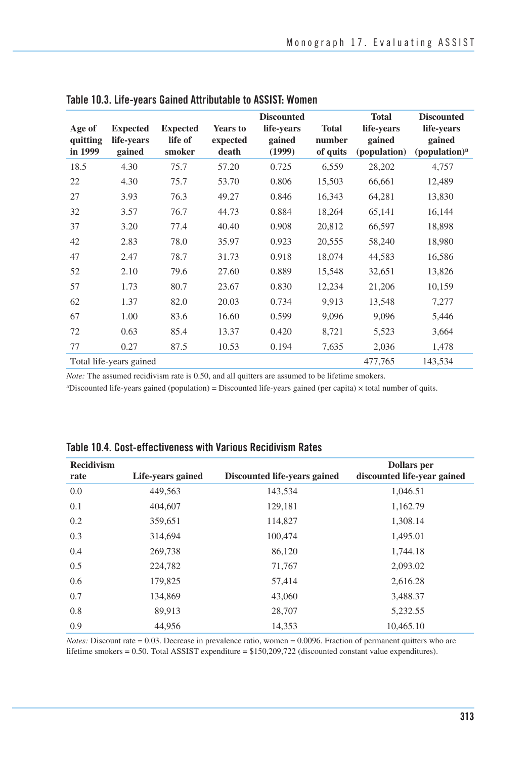| Age of<br>quitting<br>in 1999 | <b>Expected</b><br>life-vears<br>gained | <b>Expected</b><br>life of<br>smoker | <b>Years to</b><br>expected<br>death | <b>Discounted</b><br>life-years<br>gained<br>(1999) | <b>Total</b><br>number<br>of quits | <b>Total</b><br>life-years<br>gained<br>(population) | <b>Discounted</b><br>life-years<br>gained<br>(population) <sup>a</sup> |
|-------------------------------|-----------------------------------------|--------------------------------------|--------------------------------------|-----------------------------------------------------|------------------------------------|------------------------------------------------------|------------------------------------------------------------------------|
| 18.5                          | 4.30                                    | 75.7                                 | 57.20                                | 0.725                                               | 6,559                              | 28,202                                               | 4,757                                                                  |
| 22                            | 4.30                                    | 75.7                                 | 53.70                                | 0.806                                               | 15,503                             | 66,661                                               | 12,489                                                                 |
| 27                            | 3.93                                    | 76.3                                 | 49.27                                | 0.846                                               | 16,343                             | 64,281                                               | 13,830                                                                 |
| 32                            | 3.57                                    | 76.7                                 | 44.73                                | 0.884                                               | 18,264                             | 65,141                                               | 16,144                                                                 |
| 37                            | 3.20                                    | 77.4                                 | 40.40                                | 0.908                                               | 20,812                             | 66,597                                               | 18,898                                                                 |
| 42                            | 2.83                                    | 78.0                                 | 35.97                                | 0.923                                               | 20,555                             | 58,240                                               | 18,980                                                                 |
| 47                            | 2.47                                    | 78.7                                 | 31.73                                | 0.918                                               | 18,074                             | 44,583                                               | 16,586                                                                 |
| 52                            | 2.10                                    | 79.6                                 | 27.60                                | 0.889                                               | 15,548                             | 32,651                                               | 13,826                                                                 |
| 57                            | 1.73                                    | 80.7                                 | 23.67                                | 0.830                                               | 12,234                             | 21,206                                               | 10,159                                                                 |
| 62                            | 1.37                                    | 82.0                                 | 20.03                                | 0.734                                               | 9,913                              | 13,548                                               | 7,277                                                                  |
| 67                            | 1.00                                    | 83.6                                 | 16.60                                | 0.599                                               | 9,096                              | 9,096                                                | 5,446                                                                  |
| 72                            | 0.63                                    | 85.4                                 | 13.37                                | 0.420                                               | 8,721                              | 5,523                                                | 3,664                                                                  |
| 77                            | 0.27                                    | 87.5                                 | 10.53                                | 0.194                                               | 7,635                              | 2,036                                                | 1,478                                                                  |
|                               | Total life-years gained                 |                                      |                                      |                                                     |                                    | 477,765                                              | 143,534                                                                |

|  |  |  |  |  |  | Table 10.3. Life-years Gained Attributable to ASSIST: Women |
|--|--|--|--|--|--|-------------------------------------------------------------|
|--|--|--|--|--|--|-------------------------------------------------------------|

*Note:* The assumed recidivism rate is 0.50, and all quitters are assumed to be lifetime smokers.

aDiscounted life-years gained (population) = Discounted life-years gained (per capita) × total number of quits.

| <b>Recidivism</b> |                   |                              | <b>Dollars</b> per          |
|-------------------|-------------------|------------------------------|-----------------------------|
| rate              | Life-years gained | Discounted life-years gained | discounted life-year gained |
| 0.0               | 449,563           | 143,534                      | 1,046.51                    |
| 0.1               | 404,607           | 129,181                      | 1,162.79                    |
| 0.2               | 359,651           | 114,827                      | 1,308.14                    |
| 0.3               | 314,694           | 100,474                      | 1,495.01                    |
| 0.4               | 269,738           | 86,120                       | 1,744.18                    |
| 0.5               | 224,782           | 71,767                       | 2,093.02                    |
| 0.6               | 179,825           | 57,414                       | 2,616.28                    |
| 0.7               | 134,869           | 43,060                       | 3,488.37                    |
| 0.8               | 89,913            | 28,707                       | 5,232.55                    |
| 0.9               | 44,956            | 14,353                       | 10,465.10                   |

### **Table 10.4. Cost-effectiveness with Various Recidivism Rates**

*Notes:* Discount rate = 0.03. Decrease in prevalence ratio, women = 0.0096. Fraction of permanent quitters who are lifetime smokers = 0.50. Total ASSIST expenditure = \$150,209,722 (discounted constant value expenditures).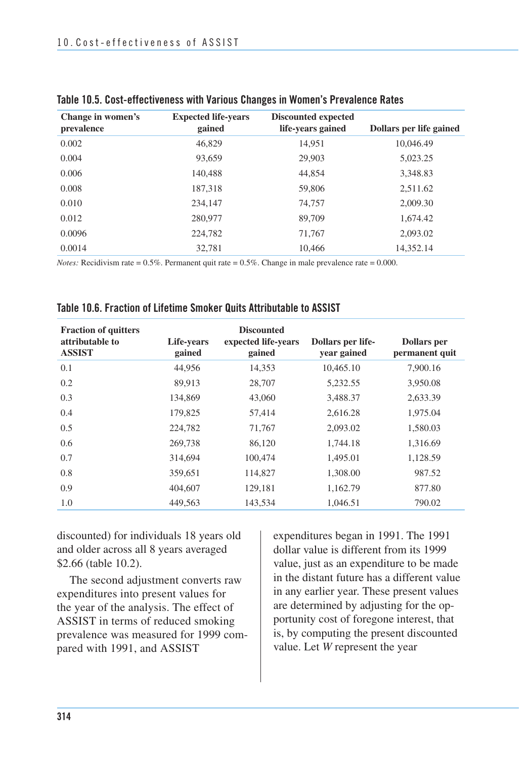| Change in women's<br>prevalence | <b>Expected life-years</b><br>gained | <b>Discounted expected</b><br>life-years gained | Dollars per life gained |
|---------------------------------|--------------------------------------|-------------------------------------------------|-------------------------|
| 0.002                           | 46,829                               | 14.951                                          | 10,046.49               |
| 0.004                           | 93,659                               | 29,903                                          | 5,023.25                |
| 0.006                           | 140,488                              | 44,854                                          | 3,348.83                |
| 0.008                           | 187,318                              | 59,806                                          | 2,511.62                |
| 0.010                           | 234,147                              | 74,757                                          | 2,009.30                |
| 0.012                           | 280,977                              | 89,709                                          | 1,674.42                |
| 0.0096                          | 224,782                              | 71,767                                          | 2,093.02                |
| 0.0014                          | 32,781                               | 10,466                                          | 14,352.14               |

|  | Table 10.5. Cost-effectiveness with Various Changes in Women's Prevalence Rates |  |  |  |  |  |
|--|---------------------------------------------------------------------------------|--|--|--|--|--|
|--|---------------------------------------------------------------------------------|--|--|--|--|--|

*Notes:* Recidivism rate =  $0.5\%$ . Permanent quit rate = 0.5%. Change in male prevalence rate = 0.000.

| <b>Fraction of quitters</b><br>attributable to<br><b>ASSIST</b> | Life-years<br>gained | <b>Discounted</b><br>expected life-years<br>gained | Dollars per life-<br>year gained | <b>Dollars</b> per<br>permanent quit |
|-----------------------------------------------------------------|----------------------|----------------------------------------------------|----------------------------------|--------------------------------------|
| 0.1                                                             | 44,956               | 14,353                                             | 10,465.10                        | 7,900.16                             |
| 0.2                                                             | 89.913               | 28,707                                             | 5,232.55                         | 3,950.08                             |
| 0.3                                                             | 134.869              | 43,060                                             | 3,488.37                         | 2,633.39                             |
| 0.4                                                             | 179,825              | 57,414                                             | 2,616.28                         | 1,975.04                             |
| 0.5                                                             | 224,782              | 71,767                                             | 2,093.02                         | 1,580.03                             |
| 0.6                                                             | 269,738              | 86,120                                             | 1,744.18                         | 1,316.69                             |
| 0.7                                                             | 314,694              | 100,474                                            | 1,495.01                         | 1,128.59                             |
| 0.8                                                             | 359,651              | 114,827                                            | 1,308.00                         | 987.52                               |
| 0.9                                                             | 404,607              | 129,181                                            | 1,162.79                         | 877.80                               |
| 1.0                                                             | 449.563              | 143.534                                            | 1.046.51                         | 790.02                               |

| Table 10.6. Fraction of Lifetime Smoker Quits Attributable to ASSIST |  |
|----------------------------------------------------------------------|--|
|----------------------------------------------------------------------|--|

discounted) for individuals 18 years old and older across all 8 years averaged \$2.66 (table 10.2).

 The second adjustment converts raw expenditures into present values for the year of the analysis. The effect of ASSIST in terms of reduced smoking prevalence was measured for 1999 com-pared with 1991, and ASSIST

expenditures began in 1991. The 1991 dollar value is different from its 1999 value, just as an expenditure to be made in the distant future has a different value in any earlier year. These present values are determined by adjusting for the opportunity cost of foregone interest, that is, by computing the present discounted value. Let *W* represent the year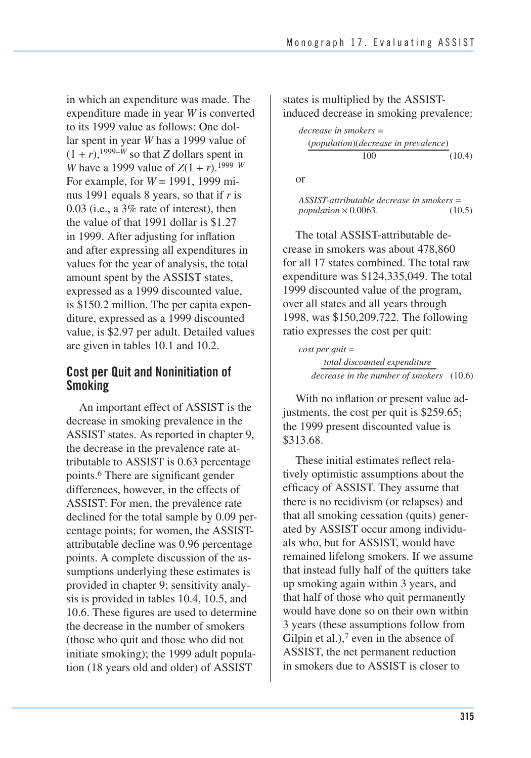in which an expenditure was made. The expenditure made in year *W* is converted to its 1999 value as follows: One dollar spent in year *W* has a 1999 value of  $(1 + r)$ , <sup>1999–*W*</sup> so that *Z* dollars spent in *W* have a 1999 value of  $Z(1 + r)$ .<sup>1999–*W*</sup> For example, for *W* = 1991, 1999 minus 1991 equals 8 years, so that if *r* is 0.03 (i.e., a 3% rate of interest), then the value of that 1991 dollar is \$1.27 in 1999. After adjusting for inflation and after expressing all expenditures in values for the year of analysis, the total amount spent by the ASSIST states, expressed as a 1999 discounted value, is \$150.2 million. The per capita expenditure, expressed as a 1999 discounted value, is \$2.97 per adult. Detailed values are given in tables 10.1 and 10.2.

### **Cost per Quit and Noninitiation of Smoking**

An important effect of ASSIST is the decrease in smoking prevalence in the ASSIST states. As reported in chapter 9, the decrease in the prevalence rate attributable to ASSIST is 0.63 percentage points.6 There are significant gender differences, however, in the effects of ASSIST: For men, the prevalence rate declined for the total sample by 0.09 percentage points; for women, the ASSISTattributable decline was 0.96 percentage points. A complete discussion of the assumptions underlying these estimates is provided in chapter 9; sensitivity analysis is provided in tables 10.4, 10.5, and 10.6. These figures are used to determine the decrease in the number of smokers (those who quit and those who did not initiate smoking); the 1999 adult population (18 years old and older) of ASSIST

states is multiplied by the ASSISTinduced decrease in smoking prevalence:

*decrease in smokers =*  (*population*)(*decrease in prevalence*) 100 (10.4)

or

*ASSIST-attributable decrease in smokers = population* × 0.0063. (10.5)

The total ASSIST-attributable decrease in smokers was about 478,860 for all 17 states combined. The total raw expenditure was \$124,335,049. The total 1999 discounted value of the program, over all states and all years through 1998, was \$150,209,722. The following ratio expresses the cost per quit:

*cost per quit* = *total discounted expenditure decrease in the number of smokers* (10.6)

With no inflation or present value adjustments, the cost per quit is \$259.65; the 1999 present discounted value is \$313.68.

These initial estimates reflect relatively optimistic assumptions about the efficacy of ASSIST. They assume that there is no recidivism (or relapses) and that all smoking cessation (quits) generated by ASSIST occur among individuals who, but for ASSIST, would have remained lifelong smokers. If we assume that instead fully half of the quitters take up smoking again within 3 years, and that half of those who quit permanently would have done so on their own within 3 years (these assumptions follow from Gilpin et al.), $<sup>7</sup>$  even in the absence of</sup> ASSIST, the net permanent reduction in smokers due to ASSIST is closer to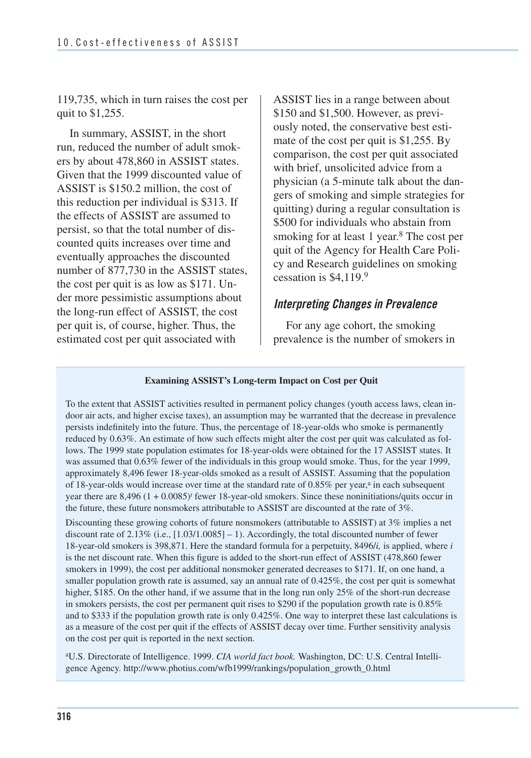119,735, which in turn raises the cost per quit to \$1,255.

In summary, ASSIST, in the short run, reduced the number of adult smokers by about 478,860 in ASSIST states. Given that the 1999 discounted value of ASSIST is \$150.2 million, the cost of this reduction per individual is \$313. If the effects of ASSIST are assumed to persist, so that the total number of discounted quits increases over time and eventually approaches the discounted number of 877,730 in the ASSIST states, the cost per quit is as low as \$171. Under more pessimistic assumptions about the long-run effect of ASSIST, the cost per quit is, of course, higher. Thus, the estimated cost per quit associated with

ASSIST lies in a range between about \$150 and \$1,500. However, as previously noted, the conservative best estimate of the cost per quit is \$1,255. By comparison, the cost per quit associated with brief, unsolicited advice from a physician (a 5-minute talk about the dangers of smoking and simple strategies for quitting) during a regular consultation is \$500 for individuals who abstain from smoking for at least 1 year.<sup>8</sup> The cost per quit of the Agency for Health Care Policy and Research guidelines on smoking cessation is \$4,119.9

### *Interpreting Changes in Prevalence*

For any age cohort, the smoking prevalence is the number of smokers in

#### **Examining ASSIST's Long-term Impact on Cost per Quit**

To the extent that ASSIST activities resulted in permanent policy changes (youth access laws, clean indoor air acts, and higher excise taxes), an assumption may be warranted that the decrease in prevalence persists indefinitely into the future. Thus, the percentage of 18-year-olds who smoke is permanently reduced by 0.63%. An estimate of how such effects might alter the cost per quit was calculated as follows. The 1999 state population estimates for 18-year-olds were obtained for the 17 ASSIST states. It was assumed that 0.63% fewer of the individuals in this group would smoke. Thus, for the year 1999, approximately 8,496 fewer 18-year-olds smoked as a result of ASSIST. Assuming that the population of 18-year-olds would increase over time at the standard rate of 0.85% per year,<sup>a</sup> in each subsequent year there are 8,496  $(1 + 0.0085)^t$  fewer 18-year-old smokers. Since these noninitiations/quits occur in the future, these future nonsmokers attributable to ASSIST are discounted at the rate of 3%.

 18-year-old smokers is 398,871. Here the standard formula for a perpetuity, 8496/*i,* is applied, where *i*  Discounting these growing cohorts of future nonsmokers (attributable to ASSIST) at 3% implies a net discount rate of 2.13% (i.e., [1.03/1.0085] – 1). Accordingly, the total discounted number of fewer is the net discount rate. When this figure is added to the short-run effect of ASSIST (478,860 fewer smokers in 1999), the cost per additional nonsmoker generated decreases to \$171. If, on one hand, a smaller population growth rate is assumed, say an annual rate of 0.425%, the cost per quit is somewhat higher, \$185. On the other hand, if we assume that in the long run only 25% of the short-run decrease in smokers persists, the cost per permanent quit rises to \$290 if the population growth rate is 0.85% and to \$333 if the population growth rate is only 0.425%. One way to interpret these last calculations is as a measure of the cost per quit if the effects of ASSIST decay over time. Further sensitivity analysis on the cost per quit is reported in the next section.

aU.S. Directorate of Intelligence. 1999. *CIA world fact book.* Washington, DC: U.S. Central Intelligence Agency. http://www.photius.com/wfb1999/rankings/population\_growth\_0.html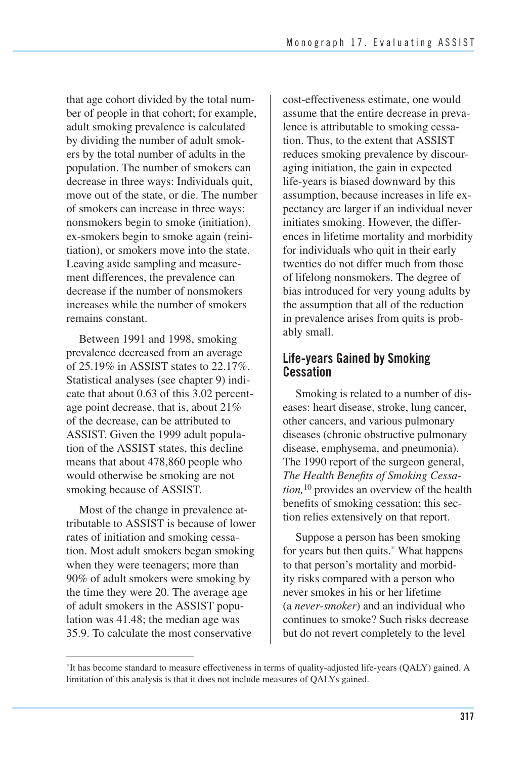that age cohort divided by the total number of people in that cohort; for example, adult smoking prevalence is calculated by dividing the number of adult smokers by the total number of adults in the population. The number of smokers can decrease in three ways: Individuals quit, move out of the state, or die. The number of smokers can increase in three ways: nonsmokers begin to smoke (initiation), ex-smokers begin to smoke again (reinitiation), or smokers move into the state. Leaving aside sampling and measurement differences, the prevalence can decrease if the number of nonsmokers increases while the number of smokers remains constant.

Between 1991 and 1998, smoking prevalence decreased from an average of 25.19% in ASSIST states to 22.17%. Statistical analyses (see chapter 9) indicate that about 0.63 of this 3.02 percentage point decrease, that is, about 21% of the decrease, can be attributed to ASSIST. Given the 1999 adult population of the ASSIST states, this decline means that about 478,860 people who would otherwise be smoking are not smoking because of ASSIST.

Most of the change in prevalence attributable to ASSIST is because of lower rates of initiation and smoking cessation. Most adult smokers began smoking when they were teenagers; more than 90% of adult smokers were smoking by the time they were 20. The average age of adult smokers in the ASSIST population was 41.48; the median age was 35.9. To calculate the most conservative

cost-effectiveness estimate, one would assume that the entire decrease in prevalence is attributable to smoking cessation. Thus, to the extent that ASSIST reduces smoking prevalence by discouraging initiation, the gain in expected life-years is biased downward by this assumption, because increases in life expectancy are larger if an individual never initiates smoking. However, the differences in lifetime mortality and morbidity for individuals who quit in their early twenties do not differ much from those of lifelong nonsmokers. The degree of bias introduced for very young adults by the assumption that all of the reduction in prevalence arises from quits is probably small.

## **Life-years Gained by Smoking Cessation**

 Smoking is related to a number of dis- eases: heart disease, stroke, lung cancer, other cancers, and various pulmonary diseases (chronic obstructive pulmonary disease, emphysema, and pneumonia). The 1990 report of the surgeon general,  *The Health Benefits of Smoking Cessa- tion,*10 provides an overview of the health benefits of smoking cessation; this sec-tion relies extensively on that report.

 Suppose a person has been smoking for years but then quits.\* What happens to that person's mortality and morbid- ity risks compared with a person who never smokes in his or her lifetime (a *never-smoker*) and an individual who continues to smoke? Such risks decrease but do not revert completely to the level

<sup>&</sup>lt;sup>\*</sup>It has become standard to measure effectiveness in terms of quality-adjusted life-years (QALY) gained. A limitation of this analysis is that it does not include measures of QALYs gained.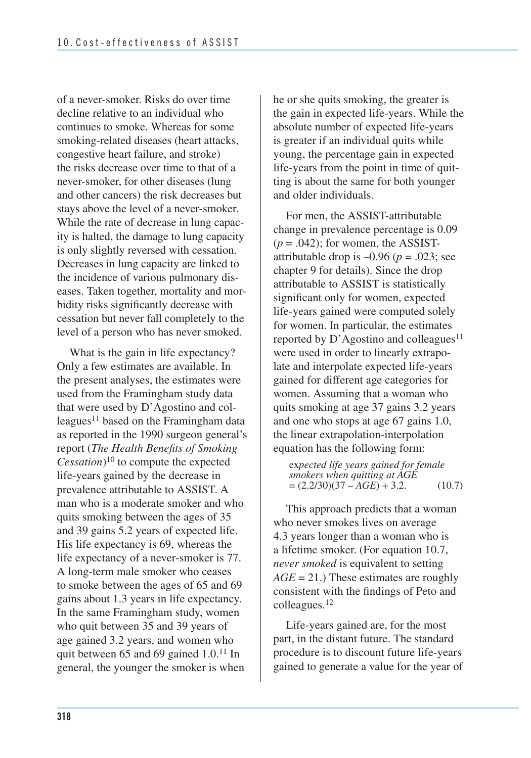of a never-smoker. Risks do over time decline relative to an individual who continues to smoke. Whereas for some smoking-related diseases (heart attacks, congestive heart failure, and stroke) the risks decrease over time to that of a never-smoker, for other diseases (lung and other cancers) the risk decreases but stays above the level of a never-smoker. While the rate of decrease in lung capac- ity is halted, the damage to lung capacity is only slightly reversed with cessation. Decreases in lung capacity are linked to the incidence of various pulmonary dis- eases. Taken together, mortality and mor- bidity risks significantly decrease with cessation but never fall completely to the level of a person who has never smoked.

What is the gain in life expectancy? Only a few estimates are available. In the present analyses, the estimates were used from the Framingham study data that were used by D'Agostino and colleagues $11$  based on the Framingham data as reported in the 1990 surgeon general's report (*The Health Benefits of Smoking Cessation*)10 to compute the expected life-years gained by the decrease in prevalence attributable to ASSIST. A man who is a moderate smoker and who quits smoking between the ages of 35 and 39 gains 5.2 years of expected life. His life expectancy is 69, whereas the life expectancy of a never-smoker is 77. A long-term male smoker who ceases to smoke between the ages of 65 and 69 gains about 1.3 years in life expectancy. In the same Framingham study, women who quit between 35 and 39 years of age gained 3.2 years, and women who quit between 65 and 69 gained 1.0.11 In general, the younger the smoker is when

he or she quits smoking, the greater is the gain in expected life-years. While the absolute number of expected life-years is greater if an individual quits while young, the percentage gain in expected life-years from the point in time of quitting is about the same for both younger and older individuals.

For men, the ASSIST-attributable change in prevalence percentage is 0.09  $(p = .042)$ ; for women, the ASSISTattributable drop is  $-0.96$  ( $p = .023$ ; see chapter 9 for details). Since the drop attributable to ASSIST is statistically significant only for women, expected life-years gained were computed solely for women. In particular, the estimates reported by  $D'$  Agostino and colleagues<sup>11</sup> were used in order to linearly extrapolate and interpolate expected life-years gained for different age categories for women. Assuming that a woman who quits smoking at age 37 gains 3.2 years and one who stops at age 67 gains 1.0, the linear extrapolation-interpolation equation has the following form:

ex*pected life years gained for female smokers when quitting at AGE*   $=(2.2/30)(37 - AGE) + 3.2.$  (10.7)

This approach predicts that a woman who never smokes lives on average 4.3 years longer than a woman who is a lifetime smoker. (For equation 10.7, *never smoked* is equivalent to setting *AGE* = 21.) These estimates are roughly consistent with the findings of Peto and colleagues.12

Life-years gained are, for the most part, in the distant future. The standard procedure is to discount future life-years gained to generate a value for the year of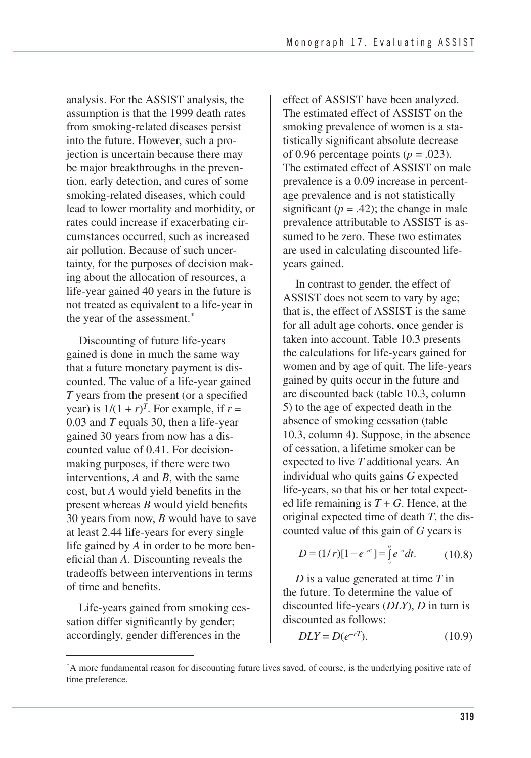analysis. For the ASSIST analysis, the assumption is that the 1999 death rates from smoking-related diseases persist into the future. However, such a projection is uncertain because there may be major breakthroughs in the prevention, early detection, and cures of some smoking-related diseases, which could lead to lower mortality and morbidity, or rates could increase if exacerbating circumstances occurred, such as increased air pollution. Because of such uncertainty, for the purposes of decision making about the allocation of resources, a life-year gained 40 years in the future is not treated as equivalent to a life-year in the year of the assessment.

Discounting of future life-years gained is done in much the same way that a future monetary payment is discounted. The value of a life-year gained *T* years from the present (or a specified year) is  $1/(1 + r)^T$ . For example, if  $r =$ 0.03 and *T* equals 30, then a life-year gained 30 years from now has a discounted value of 0.41. For decisionmaking purposes, if there were two interventions, *A* and *B*, with the same cost, but *A* would yield benefits in the present whereas *B* would yield benefits 30 years from now, *B* would have to save at least 2.44 life-years for every single life gained by *A* in order to be more beneficial than *A*. Discounting reveals the tradeoffs between interventions in terms of time and benefits.

Life-years gained from smoking cessation differ significantly by gender; accordingly, gender differences in the

effect of ASSIST have been analyzed. The estimated effect of ASSIST on the smoking prevalence of women is a statistically significant absolute decrease of 0.96 percentage points  $(p = .023)$ . The estimated effect of ASSIST on male prevalence is a 0.09 increase in percentage prevalence and is not statistically significant ( $p = .42$ ); the change in male prevalence attributable to ASSIST is assumed to be zero. These two estimates are used in calculating discounted lifeyears gained.

 In contrast to gender, the effect of ASSIST does not seem to vary by age; that is, the effect of ASSIST is the same for all adult age cohorts, once gender is taken into account. Table 10.3 presents the calculations for life-years gained for women and by age of quit. The life-years gained by quits occur in the future and are discounted back (table 10.3, column 5) to the age of expected death in the absence of smoking cessation (table 10.3, column 4). Suppose, in the absence of cessation, a lifetime smoker can be expected to live *T* additional years. An individual who quits gains *G* expected life-years, so that his or her total expected life remaining is  $T + G$ . Hence, at the original expected time of death *T*, the dis-counted value of this gain of *G* years is

$$
D = (1/r)[1 - e^{-rC}] = \int_{0}^{C} e^{-r} dt.
$$
 (10.8)

*D* is a value generated at time *T* in the future. To determine the value of discounted life-years (*DLY*), *D* in turn is discounted as follows:

$$
DLY = D(e^{-rT}).\tag{10.9}
$$

A more fundamental reason for discounting future lives saved, of course, is the underlying positive rate of time preference.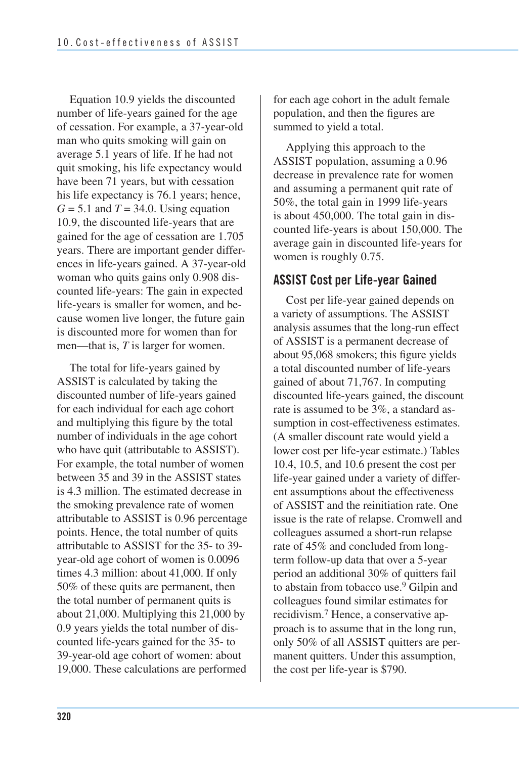Equation 10.9 yields the discounted number of life-years gained for the age of cessation. For example, a 37-year-old man who quits smoking will gain on average 5.1 years of life. If he had not quit smoking, his life expectancy would have been 71 years, but with cessation his life expectancy is 76.1 years; hence,  $G = 5.1$  and  $T = 34.0$ . Using equation 10.9, the discounted life-years that are gained for the age of cessation are 1.705 years. There are important gender differences in life-years gained. A 37-year-old woman who quits gains only 0.908 discounted life-years: The gain in expected life-years is smaller for women, and because women live longer, the future gain is discounted more for women than for men—that is, *T* is larger for women.

 The total for life-years gained by ASSIST is calculated by taking the discounted number of life-years gained for each individual for each age cohort and multiplying this figure by the total number of individuals in the age cohort who have quit (attributable to ASSIST). For example, the total number of women between 35 and 39 in the ASSIST states is 4.3 million. The estimated decrease in the smoking prevalence rate of women attributable to ASSIST is 0.96 percentage points. Hence, the total number of quits attributable to ASSIST for the 35- to 39 year-old age cohort of women is 0.0096 times 4.3 million: about 41,000. If only 50% of these quits are permanent, then the total number of permanent quits is about 21,000. Multiplying this 21,000 by 0.9 years yields the total number of dis- counted life-years gained for the 35- to 39-year-old age cohort of women: about 19,000. These calculations are performed

 for each age cohort in the adult female population, and then the figures are summed to yield a total.

 Applying this approach to the ASSIST population, assuming a 0.96 decrease in prevalence rate for women and assuming a permanent quit rate of 50%, the total gain in 1999 life-years is about 450,000. The total gain in dis- counted life-years is about 150,000. The average gain in discounted life-years for women is roughly 0.75.

## **ASSIST Cost per Life-year Gained**

 Cost per life-year gained depends on a variety of assumptions. The ASSIST analysis assumes that the long-run effect of ASSIST is a permanent decrease of about 95,068 smokers; this figure yields a total discounted number of life-years gained of about 71,767. In computing discounted life-years gained, the discount rate is assumed to be 3%, a standard as- sumption in cost-effectiveness estimates. (A smaller discount rate would yield a lower cost per life-year estimate.) Tables 10.4, 10.5, and 10.6 present the cost per life-year gained under a variety of differ- ent assumptions about the effectiveness of ASSIST and the reinitiation rate. One issue is the rate of relapse. Cromwell and colleagues assumed a short-run relapse rate of 45% and concluded from long- term follow-up data that over a 5-year period an additional 30% of quitters fail to abstain from tobacco use.9 Gilpin and colleagues found similar estimates for recidivism.<sup>7</sup> Hence, a conservative ap- proach is to assume that in the long run, only 50% of all ASSIST quitters are per- manent quitters. Under this assumption, the cost per life-year is \$790.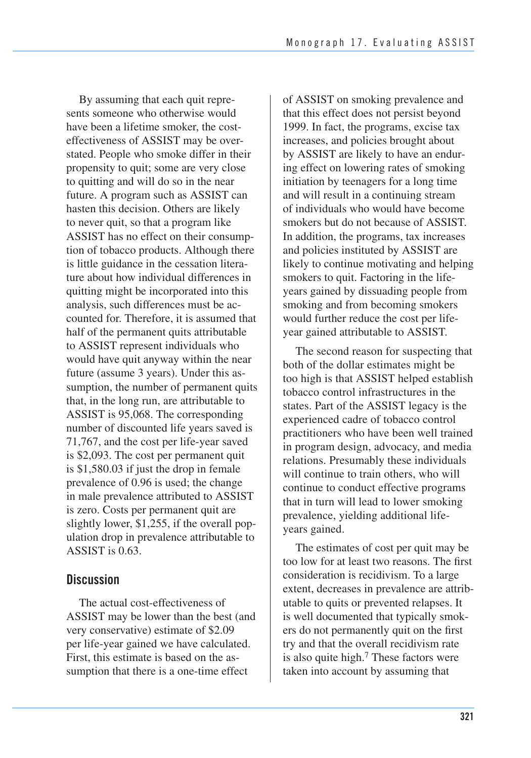By assuming that each quit represents someone who otherwise would have been a lifetime smoker, the costeffectiveness of ASSIST may be overstated. People who smoke differ in their propensity to quit; some are very close to quitting and will do so in the near future. A program such as ASSIST can hasten this decision. Others are likely to never quit, so that a program like ASSIST has no effect on their consumption of tobacco products. Although there is little guidance in the cessation literature about how individual differences in quitting might be incorporated into this analysis, such differences must be accounted for. Therefore, it is assumed that half of the permanent quits attributable to ASSIST represent individuals who would have quit anyway within the near future (assume 3 years). Under this assumption, the number of permanent quits that, in the long run, are attributable to ASSIST is 95,068. The corresponding number of discounted life years saved is 71,767, and the cost per life-year saved is \$2,093. The cost per permanent quit is \$1,580.03 if just the drop in female prevalence of 0.96 is used; the change in male prevalence attributed to ASSIST is zero. Costs per permanent quit are slightly lower, \$1,255, if the overall population drop in prevalence attributable to ASSIST is 0.63.

### **Discussion**

The actual cost-effectiveness of ASSIST may be lower than the best (and very conservative) estimate of \$2.09 per life-year gained we have calculated. First, this estimate is based on the assumption that there is a one-time effect

of ASSIST on smoking prevalence and that this effect does not persist beyond 1999. In fact, the programs, excise tax increases, and policies brought about by ASSIST are likely to have an enduring effect on lowering rates of smoking initiation by teenagers for a long time and will result in a continuing stream of individuals who would have become smokers but do not because of ASSIST. In addition, the programs, tax increases and policies instituted by ASSIST are likely to continue motivating and helping smokers to quit. Factoring in the lifeyears gained by dissuading people from smoking and from becoming smokers would further reduce the cost per lifeyear gained attributable to ASSIST.

 The second reason for suspecting that both of the dollar estimates might be too high is that ASSIST helped establish tobacco control infrastructures in the states. Part of the ASSIST legacy is the experienced cadre of tobacco control practitioners who have been well trained in program design, advocacy, and media relations. Presumably these individuals will continue to train others, who will continue to conduct effective programs that in turn will lead to lower smoking prevalence, yielding additional lifeyears gained.

The estimates of cost per quit may be too low for at least two reasons. The first consideration is recidivism. To a large extent, decreases in prevalence are attributable to quits or prevented relapses. It is well documented that typically smokers do not permanently quit on the first try and that the overall recidivism rate is also quite high. $<sup>7</sup>$  These factors were</sup> taken into account by assuming that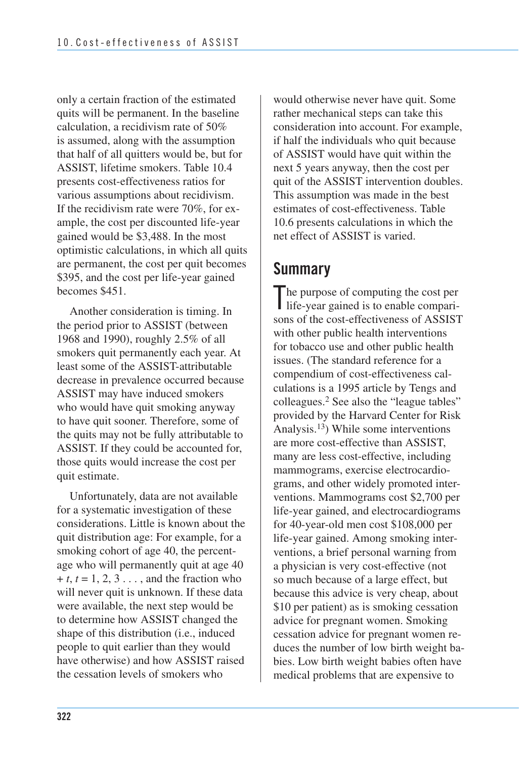only a certain fraction of the estimated quits will be permanent. In the baseline calculation, a recidivism rate of 50% is assumed, along with the assumption that half of all quitters would be, but for ASSIST, lifetime smokers. Table 10.4 presents cost-effectiveness ratios for various assumptions about recidivism. If the recidivism rate were 70%, for example, the cost per discounted life-year gained would be \$3,488. In the most optimistic calculations, in which all quits are permanent, the cost per quit becomes \$395, and the cost per life-year gained becomes \$451.

Another consideration is timing. In the period prior to ASSIST (between 1968 and 1990), roughly 2.5% of all smokers quit permanently each year. At least some of the ASSIST-attributable decrease in prevalence occurred because ASSIST may have induced smokers who would have quit smoking anyway to have quit sooner. Therefore, some of the quits may not be fully attributable to ASSIST. If they could be accounted for, those quits would increase the cost per quit estimate.

Unfortunately, data are not available for a systematic investigation of these considerations. Little is known about the quit distribution age: For example, for a smoking cohort of age 40, the percentage who will permanently quit at age 40  $+ t, t = 1, 2, 3, \ldots$ , and the fraction who will never quit is unknown. If these data were available, the next step would be to determine how ASSIST changed the shape of this distribution (i.e., induced people to quit earlier than they would have otherwise) and how ASSIST raised the cessation levels of smokers who

would otherwise never have quit. Some rather mechanical steps can take this consideration into account. For example, if half the individuals who quit because of ASSIST would have quit within the next 5 years anyway, then the cost per quit of the ASSIST intervention doubles. This assumption was made in the best estimates of cost-effectiveness. Table 10.6 presents calculations in which the net effect of ASSIST is varied.

## **Summary**

The purpose of computing the cost per life-year gained is to enable comparilife-year gained is to enable comparisons of the cost-effectiveness of ASSIST with other public health interventions for tobacco use and other public health issues. (The standard reference for a compendium of cost-effectiveness calculations is a 1995 article by Tengs and colleagues.2 See also the "league tables" provided by the Harvard Center for Risk Analysis.13) While some interventions are more cost-effective than ASSIST, many are less cost-effective, including mammograms, exercise electrocardiograms, and other widely promoted interventions. Mammograms cost \$2,700 per life-year gained, and electrocardiograms for 40-year-old men cost \$108,000 per life-year gained. Among smoking interventions, a brief personal warning from a physician is very cost-effective (not so much because of a large effect, but because this advice is very cheap, about \$10 per patient) as is smoking cessation advice for pregnant women. Smoking cessation advice for pregnant women reduces the number of low birth weight babies. Low birth weight babies often have medical problems that are expensive to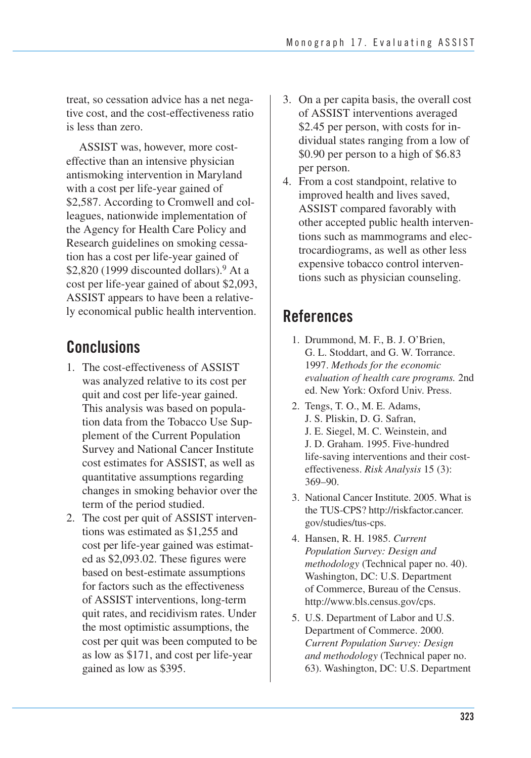treat, so cessation advice has a net negative cost, and the cost-effectiveness ratio is less than zero.

ASSIST was, however, more costeffective than an intensive physician antismoking intervention in Maryland with a cost per life-year gained of \$2,587. According to Cromwell and colleagues, nationwide implementation of the Agency for Health Care Policy and Research guidelines on smoking cessation has a cost per life-year gained of \$2,820 (1999 discounted dollars).<sup>9</sup> At a cost per life-year gained of about \$2,093, ASSIST appears to have been a relatively economical public health intervention.

# **Conclusions**

- 1. The cost-effectiveness of ASSIST was analyzed relative to its cost per quit and cost per life-year gained. This analysis was based on population data from the Tobacco Use Supplement of the Current Population Survey and National Cancer Institute cost estimates for ASSIST, as well as quantitative assumptions regarding changes in smoking behavior over the term of the period studied.
- 2. The cost per quit of ASSIST interven tions was estimated as \$1,255 and cost per life-year gained was estimat- ed as \$2,093.02. These figures were based on best-estimate assumptions for factors such as the effectiveness of ASSIST interventions, long-term quit rates, and recidivism rates. Under the most optimistic assumptions, the cost per quit was been computed to be as low as \$171, and cost per life-year gained as low as \$395.
- 3. On a per capita basis, the overall cost of ASSIST interventions averaged \$2.45 per person, with costs for individual states ranging from a low of \$0.90 per person to a high of \$6.83 per person.
- 4. From a cost standpoint, relative to improved health and lives saved, ASSIST compared favorably with other accepted public health interventions such as mammograms and electrocardiograms, as well as other less expensive tobacco control interventions such as physician counseling.

## **References**

- 1. Drummond, M. F., B. J. O'Brien, G. L. Stoddart, and G. W. Torrance. 1997. *Methods for the economic evaluation of health care programs.* 2nd ed. New York: Oxford Univ. Press.
- 2. Tengs, T. O., M. E. Adams, J. S. Pliskin, D. G. Safran, J. E. Siegel, M. C. Weinstein, and J. D. Graham. 1995. Five-hundred life-saving interventions and their costeffectiveness. *Risk Analysis* 15 (3): 369–90.
- the TUS-CPS? http://riskfactor.cancer. 3. National Cancer Institute. 2005. What is gov/studies/tus-cps.
- 4. Hansen, R. H. 1985. *Current Population Survey: Design and methodology* (Technical paper no. 40). Washington, DC: U.S. Department of Commerce, Bureau of the Census. http://www.bls.census.gov/cps.
- 5. U.S. Department of Labor and U.S. Department of Commerce. 2000. *Current Population Survey: Design and methodology* (Technical paper no. 63). Washington, DC: U.S. Department